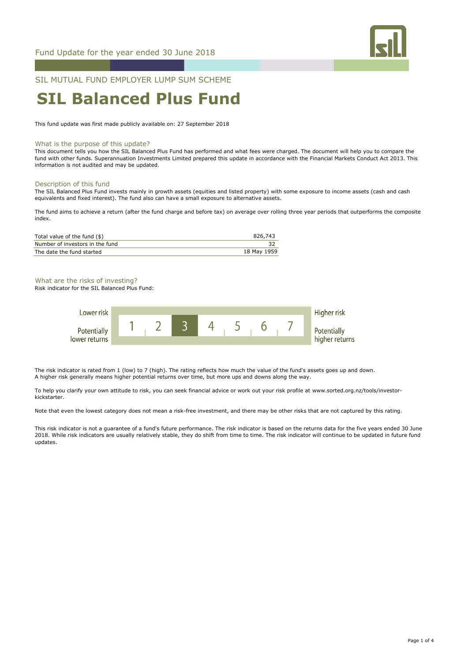

## SIL MUTUAL FUND EMPLOYER LUMP SUM SCHEME

# **SIL Balanced Plus Fund**

This fund update was first made publicly available on: 27 September 2018

#### What is the purpose of this update?

This document tells you how the SIL Balanced Plus Fund has performed and what fees were charged. The document will help you to compare the fund with other funds. Superannuation Investments Limited prepared this update in accordance with the Financial Markets Conduct Act 2013. This information is not audited and may be updated.

#### Description of this fund

The SIL Balanced Plus Fund invests mainly in growth assets (equities and listed property) with some exposure to income assets (cash and cash equivalents and fixed interest). The fund also can have a small exposure to alternative assets.

The fund aims to achieve a return (after the fund charge and before tax) on average over rolling three year periods that outperforms the composite index.

| Total value of the fund (\$)    | 826.743     |
|---------------------------------|-------------|
| Number of investors in the fund |             |
| The date the fund started       | 18 May 1959 |

# What are the risks of investing?

Risk indicator for the SIL Balanced Plus Fund:



The risk indicator is rated from 1 (low) to 7 (high). The rating reflects how much the value of the fund's assets goes up and down. A higher risk generally means higher potential returns over time, but more ups and downs along the way.

To help you clarify your own attitude to risk, you can seek financial advice or work out your risk profile at www.sorted.org.nz/tools/investorkickstarter.

Note that even the lowest category does not mean a risk-free investment, and there may be other risks that are not captured by this rating.

This risk indicator is not a guarantee of a fund's future performance. The risk indicator is based on the returns data for the five years ended 30 June 2018. While risk indicators are usually relatively stable, they do shift from time to time. The risk indicator will continue to be updated in future fund updates.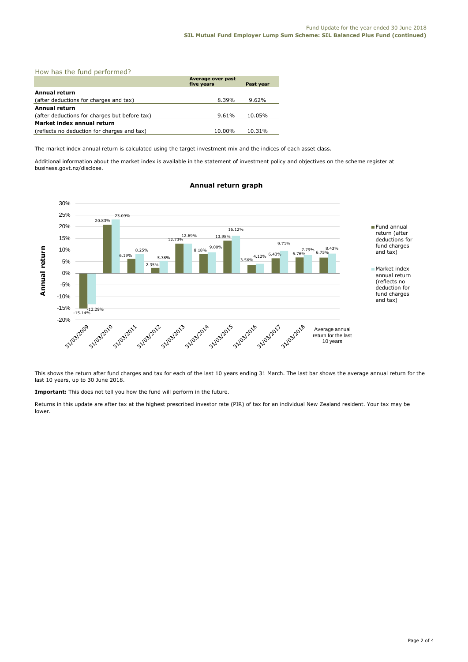| How has the fund performed?                   |                                 |           |  |  |
|-----------------------------------------------|---------------------------------|-----------|--|--|
|                                               | Average over past<br>five years | Past year |  |  |
| <b>Annual return</b>                          |                                 |           |  |  |
| (after deductions for charges and tax)        | 8.39%                           | $9.62\%$  |  |  |
| Annual return                                 |                                 |           |  |  |
| (after deductions for charges but before tax) | 9.61%                           | 10.05%    |  |  |
| Market index annual return                    |                                 |           |  |  |
| (reflects no deduction for charges and tax)   | 10.00%                          | 10.31%    |  |  |

The market index annual return is calculated using the target investment mix and the indices of each asset class.

Additional information about the market index is available in the statement of investment policy and objectives on the scheme register at business.govt.nz/disclose.



## **Annual return graph**

This shows the return after fund charges and tax for each of the last 10 years ending 31 March. The last bar shows the average annual return for the last 10 years, up to 30 June 2018.

**Important:** This does not tell you how the fund will perform in the future.

Returns in this update are after tax at the highest prescribed investor rate (PIR) of tax for an individual New Zealand resident. Your tax may be lower.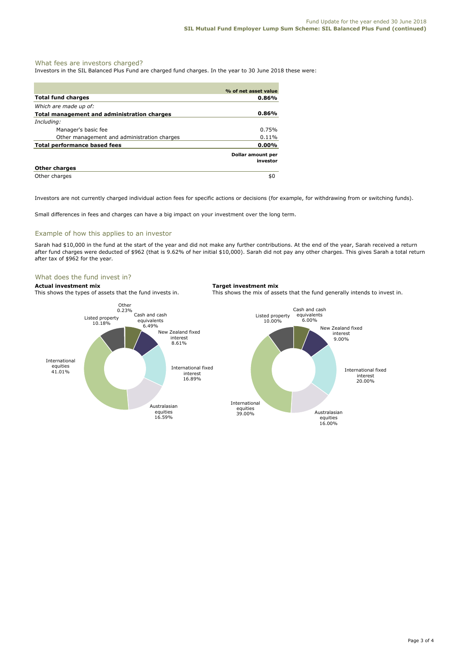#### What fees are investors charged?

Investors in the SIL Balanced Plus Fund are charged fund charges. In the year to 30 June 2018 these were:

|                                             | % of net asset value          |
|---------------------------------------------|-------------------------------|
| <b>Total fund charges</b>                   | 0.86%                         |
| Which are made up of:                       |                               |
| Total management and administration charges | $0.86\%$                      |
| Including:                                  |                               |
| Manager's basic fee                         | 0.75%                         |
| Other management and administration charges | 0.11%                         |
| Total performance based fees                | 0.00%                         |
|                                             | Dollar amount per<br>investor |
| <b>Other charges</b>                        |                               |
| Other charges                               | \$0                           |

Investors are not currently charged individual action fees for specific actions or decisions (for example, for withdrawing from or switching funds).

Small differences in fees and charges can have a big impact on your investment over the long term.

#### Example of how this applies to an investor

Sarah had \$10,000 in the fund at the start of the year and did not make any further contributions. At the end of the year, Sarah received a return after fund charges were deducted of \$962 (that is 9.62% of her initial \$10,000). Sarah did not pay any other charges. This gives Sarah a total return after tax of \$962 for the year.

### What does the fund invest in?

**Actual investment mix**<br>This shows the types of assets that the fund invests in. This shows the mix of ass

This shows the mix of assets that the fund generally intends to invest in.